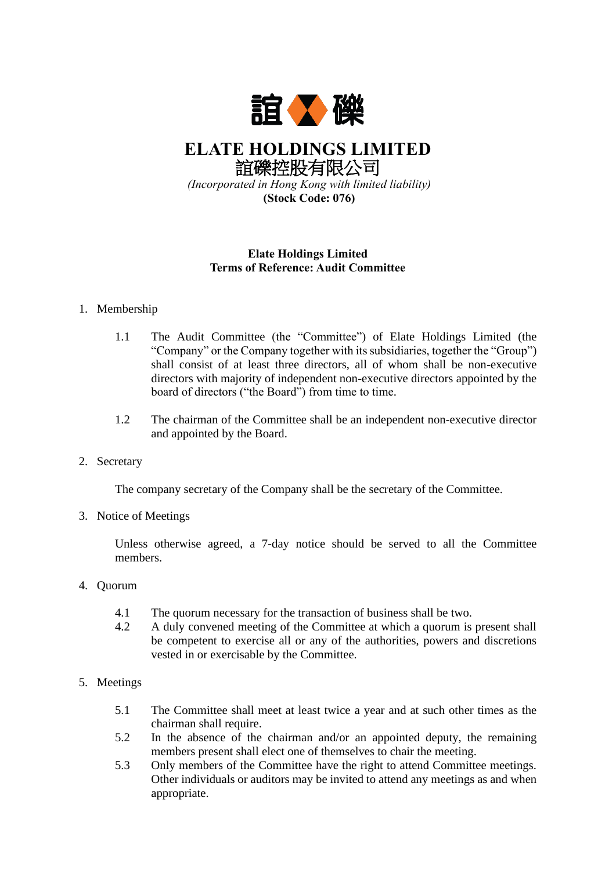

**ELATE HOLDINGS LIMITED** 誼礫控股有限公司 *(Incorporated in Hong Kong with limited liability)*

**(Stock Code: 076)**

## **Elate Holdings Limited Terms of Reference: Audit Committee**

## 1. Membership

- 1.1 The Audit Committee (the "Committee") of Elate Holdings Limited (the "Company" or the Company together with its subsidiaries, together the "Group") shall consist of at least three directors, all of whom shall be non-executive directors with majority of independent non-executive directors appointed by the board of directors ("the Board") from time to time.
- 1.2 The chairman of the Committee shall be an independent non-executive director and appointed by the Board.
- 2. Secretary

The company secretary of the Company shall be the secretary of the Committee.

3. Notice of Meetings

Unless otherwise agreed, a 7-day notice should be served to all the Committee members.

- 4. Quorum
	- 4.1 The quorum necessary for the transaction of business shall be two.
	- 4.2 A duly convened meeting of the Committee at which a quorum is present shall be competent to exercise all or any of the authorities, powers and discretions vested in or exercisable by the Committee.
- 5. Meetings
	- 5.1 The Committee shall meet at least twice a year and at such other times as the chairman shall require.
	- 5.2 In the absence of the chairman and/or an appointed deputy, the remaining members present shall elect one of themselves to chair the meeting.
	- 5.3 Only members of the Committee have the right to attend Committee meetings. Other individuals or auditors may be invited to attend any meetings as and when appropriate.